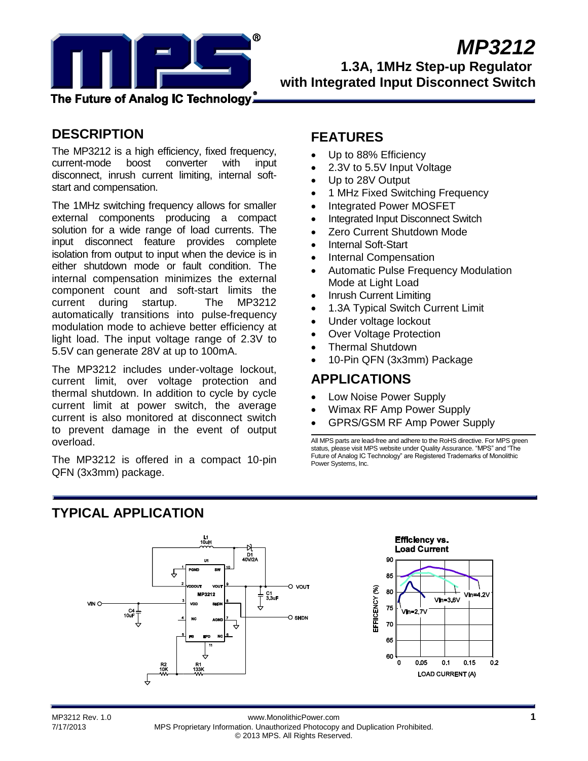

# **DESCRIPTION**

The MP3212 is a high efficiency, fixed frequency, current-mode boost converter with input disconnect, inrush current limiting, internal softstart and compensation.

The 1MHz switching frequency allows for smaller external components producing a compact solution for a wide range of load currents. The input disconnect feature provides complete isolation from output to input when the device is in either shutdown mode or fault condition. The internal compensation minimizes the external component count and soft-start limits the current during startup. The MP3212 automatically transitions into pulse-frequency modulation mode to achieve better efficiency at light load. The input voltage range of 2.3V to 5.5V can generate 28V at up to 100mA.

The MP3212 includes under-voltage lockout, current limit, over voltage protection and thermal shutdown. In addition to cycle by cycle current limit at power switch, the average current is also monitored at disconnect switch to prevent damage in the event of output overload.

The MP3212 is offered in a compact 10-pin QFN (3x3mm) package.

## **FEATURES**

- Up to 88% Efficiency
- 2.3V to 5.5V Input Voltage
- Up to 28V Output
- 1 MHz Fixed Switching Frequency
- Integrated Power MOSFET
- Integrated Input Disconnect Switch
- Zero Current Shutdown Mode
- Internal Soft-Start
- Internal Compensation
- Automatic Pulse Frequency Modulation Mode at Light Load
- Inrush Current Limiting
- 1.3A Typical Switch Current Limit
- Under voltage lockout
- Over Voltage Protection
- Thermal Shutdown
- 10-Pin QFN (3x3mm) Package

## **APPLICATIONS**

- Low Noise Power Supply
- Wimax RF Amp Power Supply
- GPRS/GSM RF Amp Power Supply

All MPS parts are lead-free and adhere to the RoHS directive. For MPS green status, please visit MPS website under Quality Assurance. "MPS" and "The Future of Analog IC Technology" are Registered Trademarks of Monolithic Power Systems, Inc.

# **TYPICAL APPLICATION**



MP3212 Rev. 1.0 www.MonolithicPower.com **1** 7/17/2013 MPS Proprietary Information. Unauthorized Photocopy and Duplication Prohibited. © 2013 MPS. All Rights Reserved.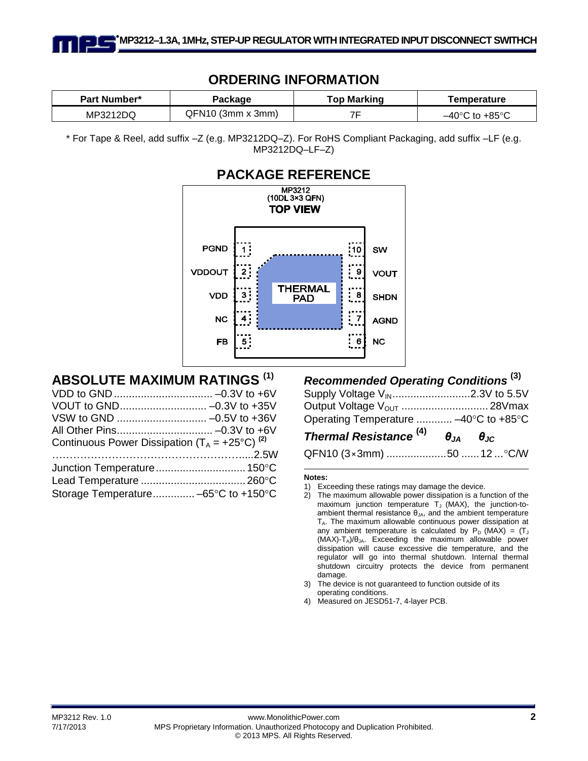## **ORDERING INFORMATION**

| <b>Part Number*</b> | Package           | <b>Top Marking</b> | Temperature                         |
|---------------------|-------------------|--------------------|-------------------------------------|
| MP3212DQ            | QFN10 (3mm x 3mm) |                    | $-40^{\circ}$ C to +85 $^{\circ}$ C |

\* For Tape & Reel, add suffix –Z (e.g. MP3212DQ–Z). For RoHS Compliant Packaging, add suffix –LF (e.g. MP3212DQ–LF–Z)



# **ABSOLUTE MAXIMUM RATINGS (1)**

| Continuous Power Dissipation $(T_A = +25^{\circ}C)^{(2)}$ |  |
|-----------------------------------------------------------|--|
|                                                           |  |
|                                                           |  |
|                                                           |  |
| Storage Temperature -65°C to +150°C                       |  |

## *Recommended Operating Conditions* **(3)**

| Supply Voltage V <sub>IN</sub> 2.3V to 5.5V                   |  |  |
|---------------------------------------------------------------|--|--|
|                                                               |  |  |
| Operating Temperature  -40°C to +85°C                         |  |  |
| Thermal Resistance <sup>(4)</sup> $\theta_{JA}$ $\theta_{JC}$ |  |  |
| QFN10 (3×3mm) 50  12  °C/W                                    |  |  |

#### **Notes:**

- 3) The device is not guaranteed to function outside of its operating conditions.
- 4) Measured on JESD51-7, 4-layer PCB.

<sup>1)</sup> Exceeding these ratings may damage the device.

<sup>2)</sup> The maximum allowable power dissipation is a function of the maximum junction temperature  $T_J$  (MAX), the junction-toambient thermal resistance  $\theta_{JA}$ , and the ambient temperature TA. The maximum allowable continuous power dissipation at any ambient temperature is calculated by  $P_D$  (MAX) = (T  $(MAX)-T_A)/\theta_{JA}$ . Exceeding the maximum allowable power dissipation will cause excessive die temperature, and the regulator will go into thermal shutdown. Internal thermal shutdown circuitry protects the device from permanent damage.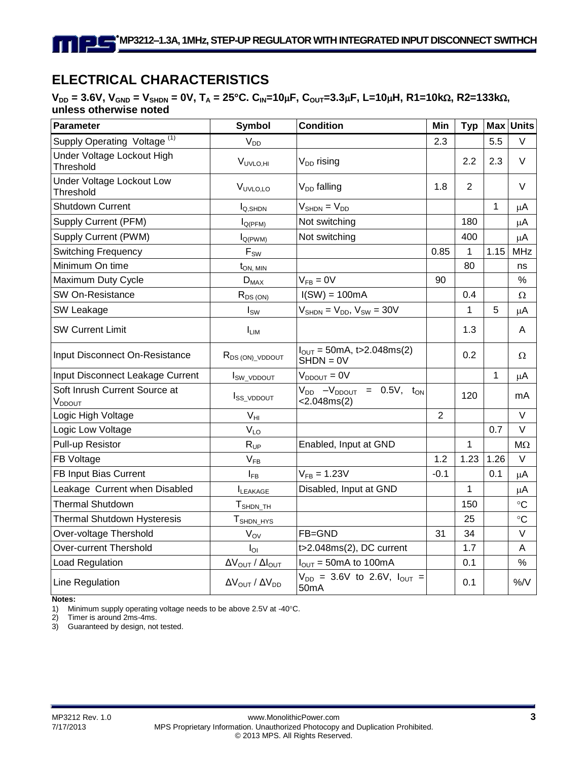# **ELECTRICAL CHARACTERISTICS**

### $V_{DD} = 3.6V$ ,  $V_{GND} = V_{SHDN} = 0V$ ,  $T_A = 25^{\circ}C$ .  $C_{IN} = 10\mu F$ ,  $C_{OUT} = 3.3\mu F$ , L=10 $\mu H$ , R1=10k $\Omega$ , R2=133k $\Omega$ , **unless otherwise noted**

| Parameter                                                           | <b>Condition</b><br><b>Symbol</b>                                                                |                                                           | Min            | <b>Typ</b>     | <b>Max</b> | <b>Units</b> |
|---------------------------------------------------------------------|--------------------------------------------------------------------------------------------------|-----------------------------------------------------------|----------------|----------------|------------|--------------|
| Supply Operating Voltage <sup>(1)</sup>                             | $V_{DD}$                                                                                         |                                                           | 2.3            |                | 5.5        | V            |
| Under Voltage Lockout High<br>Threshold                             | $V_{UVLO,HI}$                                                                                    | $V_{DD}$ rising                                           |                | 2.2            | 2.3        | $\vee$       |
| Under Voltage Lockout Low<br>Threshold                              | V <sub>UVLO,LO</sub>                                                                             | V <sub>DD</sub> falling                                   | 1.8            | $\overline{2}$ |            | $\vee$       |
| <b>Shutdown Current</b>                                             | $I_{Q,SHDN}$                                                                                     | $V_{SHDN} = V_{DD}$                                       |                |                | 1          | μA           |
| Supply Current (PFM)                                                | $I_{Q(PFM)}$                                                                                     | Not switching                                             |                | 180            |            | μA           |
| Supply Current (PWM)                                                | $I_{Q(PWM)}$                                                                                     | Not switching                                             |                | 400            |            | $\mu$ A      |
| <b>Switching Frequency</b>                                          | $F_{SW}$                                                                                         |                                                           | 0.85           | 1              | 1.15       | <b>MHz</b>   |
| Minimum On time                                                     | $t_{ON, MIN}$                                                                                    |                                                           |                | 80             |            | ns           |
| Maximum Duty Cycle                                                  | $D_{MAX}$                                                                                        | $V_{FB} = 0V$                                             | 90             |                |            | %            |
| SW On-Resistance                                                    | $R_{DS(ON)}$                                                                                     | $I(SW) = 100mA$                                           |                | 0.4            |            | $\Omega$     |
| SW Leakage                                                          | $I_{SW}$                                                                                         | $V_{\text{SHDN}} = V_{\text{DD}}$ , $V_{\text{SW}} = 30V$ |                | 1              | 5          | μA           |
| <b>SW Current Limit</b>                                             | <b>LIM</b>                                                                                       |                                                           |                | 1.3            |            | A            |
| Input Disconnect On-Resistance                                      | $I_{\text{OUT}} = 50 \text{mA}, t > 2.048 \text{ms}(2)$<br>$R_{DS(ON) \_ VDDOUT}$<br>$SHDN = 0V$ |                                                           |                | 0.2            |            | $\Omega$     |
| Input Disconnect Leakage Current                                    | I <sub>SW_VDDOUT</sub>                                                                           | $V_{DDOUT} = 0V$                                          |                |                | 1          | μA           |
| Soft Inrush Current Source at<br>V <sub>DDOUT</sub>                 | $V_{DD}$ - $V_{DDOUT}$ = 0.5V, t <sub>ON</sub><br>I <sub>SS_VDDOUT</sub><br><2.048ms(2)          |                                                           |                | 120            |            | mA           |
| Logic High Voltage                                                  | $\mathsf{V}_{\mathsf{HI}}$                                                                       |                                                           | $\overline{2}$ |                |            | $\vee$       |
| Logic Low Voltage                                                   | $V_{LO}$                                                                                         |                                                           |                |                | 0.7        | $\vee$       |
| Pull-up Resistor                                                    | Enabled, Input at GND<br>$R_{UP}$                                                                |                                                           |                | 1              |            | $M\Omega$    |
| FB Voltage                                                          | $V_{FB}$                                                                                         |                                                           | 1.2            | 1.23           | 1.26       | $\vee$       |
| FB Input Bias Current                                               | $V_{FB} = 1.23V$<br>$I_{FB}$                                                                     |                                                           | $-0.1$         |                | 0.1        | μA           |
| Leakage Current when Disabled                                       | Disabled, Input at GND<br>LEAKAGE                                                                |                                                           |                | 1              |            | μA           |
| <b>Thermal Shutdown</b><br>$T_{\scriptsize{\textnormal{SHDN\_TH}}}$ |                                                                                                  |                                                           |                | 150            |            | $\circ$ C    |
| <b>Thermal Shutdown Hysteresis</b>                                  | T <sub>SHDN_HYS</sub>                                                                            |                                                           |                | 25             |            | $\circ$ C    |
| FB=GND<br>Over-voltage Thershold<br>$V_{OV}$                        |                                                                                                  |                                                           | 31             | 34             |            | $\vee$       |
| <b>Over-current Thershold</b><br>$I_{\text{OI}}$                    |                                                                                                  | t>2.048ms(2), DC current                                  |                | 1.7            |            | A            |
| Load Regulation                                                     | $\Delta V_{\text{OUT}}$ / $\Delta I_{\text{OUT}}$                                                | $I_{\text{OUT}} = 50 \text{mA}$ to 100mA                  |                | 0.1            |            | $\%$         |
| Line Regulation                                                     | $\Delta V_{\text{OUT}}$ / $\Delta V_{\text{DD}}$                                                 | $V_{DD}$ = 3.6V to 2.6V, $I_{OUT}$ =<br>50mA              |                | 0.1            |            | $%$ /V       |

**Notes:**

1) Minimum supply operating voltage needs to be above 2.5V at -40°C.

2) Timer is around 2ms-4ms.

3) Guaranteed by design, not tested.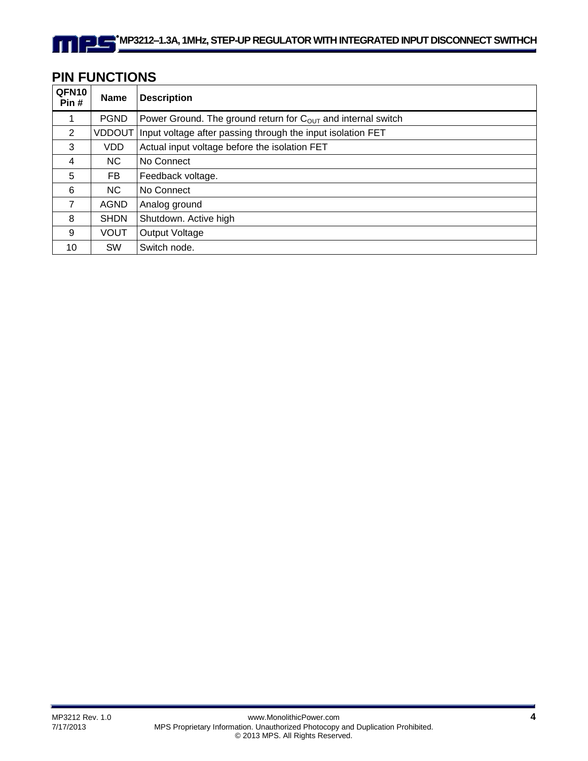# **PIN FUNCTIONS**

| QFN10<br>Pin#  | <b>Name</b> | <b>Description</b>                                                 |
|----------------|-------------|--------------------------------------------------------------------|
| 1              | <b>PGND</b> | Power Ground. The ground return for $C_{OUT}$ and internal switch  |
| 2              |             | VDDOUT Input voltage after passing through the input isolation FET |
| 3              | VDD.        | Actual input voltage before the isolation FET                      |
| $\overline{4}$ | NC.         | No Connect                                                         |
| 5              | FB          | Feedback voltage.                                                  |
| 6              | NC.         | No Connect                                                         |
| $\overline{7}$ | <b>AGND</b> | Analog ground                                                      |
| 8              | <b>SHDN</b> | Shutdown. Active high                                              |
| 9              | <b>VOUT</b> | Output Voltage                                                     |
| 10             | <b>SW</b>   | Switch node.                                                       |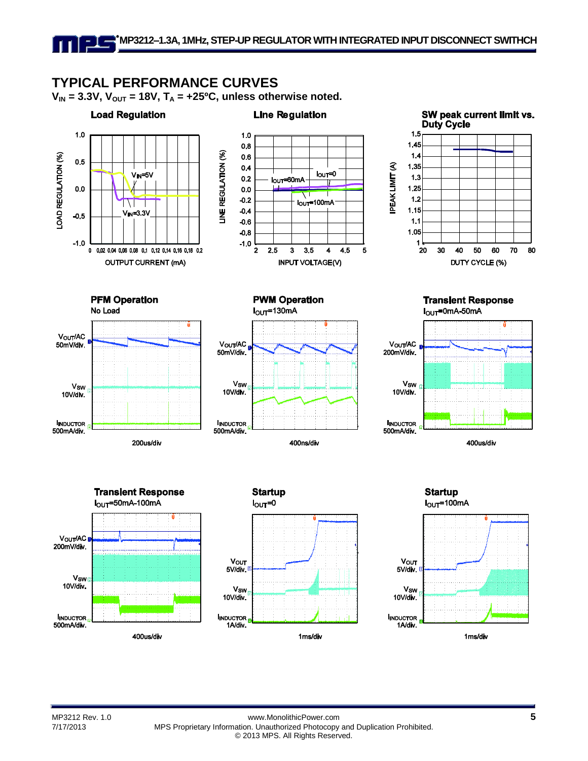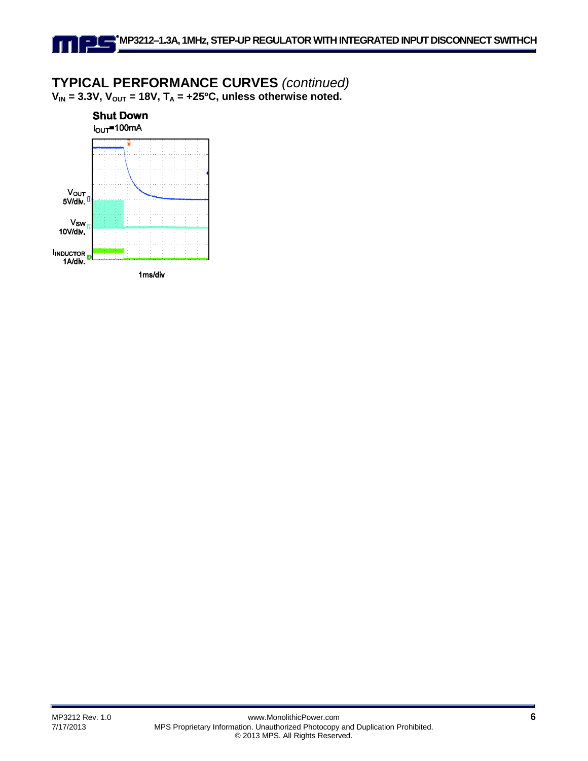### **TYPICAL PERFORMANCE CURVES** *(continued)*  $V_{IN}$  = 3.3V,  $V_{OUT}$  = 18V,  $T_A$  = +25<sup>o</sup>C, unless otherwise noted.

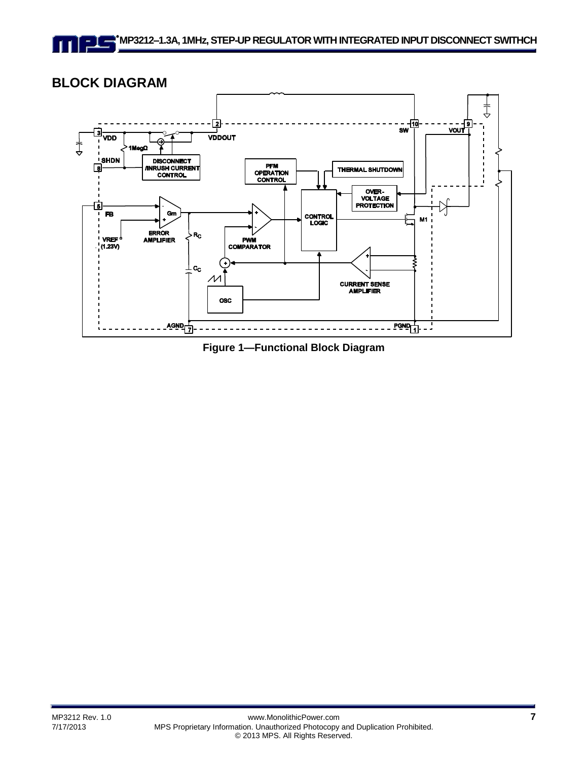# **BLOCK DIAGRAM**



**Figure 1—Functional Block Diagram**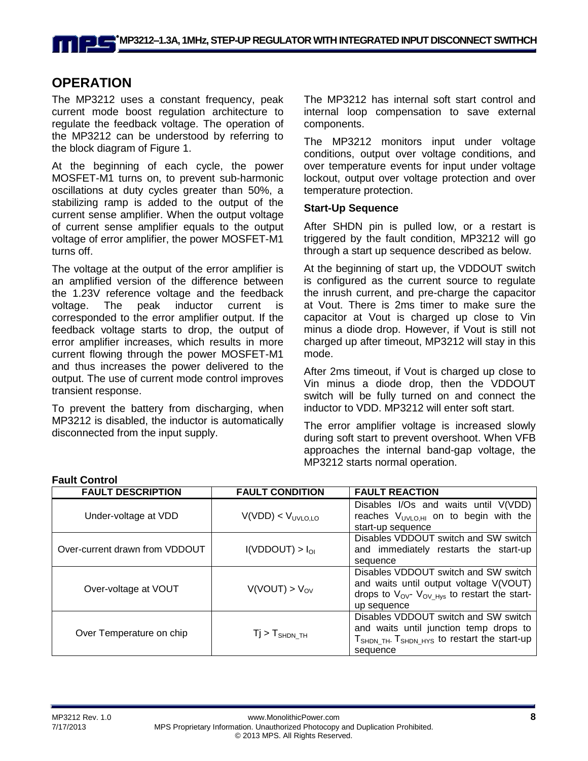## **OPERATION**

The MP3212 uses a constant frequency, peak current mode boost regulation architecture to regulate the feedback voltage. The operation of the MP3212 can be understood by referring to the block diagram of Figure 1.

At the beginning of each cycle, the power MOSFET-M1 turns on, to prevent sub-harmonic oscillations at duty cycles greater than 50%, a stabilizing ramp is added to the output of the current sense amplifier. When the output voltage of current sense amplifier equals to the output voltage of error amplifier, the power MOSFET-M1 turns off.

The voltage at the output of the error amplifier is an amplified version of the difference between the 1.23V reference voltage and the feedback voltage. The peak inductor current is corresponded to the error amplifier output. If the feedback voltage starts to drop, the output of error amplifier increases, which results in more current flowing through the power MOSFET-M1 and thus increases the power delivered to the output. The use of current mode control improves transient response.

To prevent the battery from discharging, when MP3212 is disabled, the inductor is automatically disconnected from the input supply.

The MP3212 has internal soft start control and internal loop compensation to save external components.

The MP3212 monitors input under voltage conditions, output over voltage conditions, and over temperature events for input under voltage lockout, output over voltage protection and over temperature protection.

#### **Start-Up Sequence**

After SHDN pin is pulled low, or a restart is triggered by the fault condition, MP3212 will go through a start up sequence described as below.

At the beginning of start up, the VDDOUT switch is configured as the current source to regulate the inrush current, and pre-charge the capacitor at Vout. There is 2ms timer to make sure the capacitor at Vout is charged up close to Vin minus a diode drop. However, if Vout is still not charged up after timeout, MP3212 will stay in this mode.

After 2ms timeout, if Vout is charged up close to Vin minus a diode drop, then the VDDOUT switch will be fully turned on and connect the inductor to VDD. MP3212 will enter soft start.

The error amplifier voltage is increased slowly during soft start to prevent overshoot. When VFB approaches the internal band-gap voltage, the MP3212 starts normal operation.

| <b>FAULT DESCRIPTION</b>       | <b>FAULT CONDITION</b>        | <b>FAULT REACTION</b>                                                                                                                                               |
|--------------------------------|-------------------------------|---------------------------------------------------------------------------------------------------------------------------------------------------------------------|
| Under-voltage at VDD           | V(VDD) < V <sub>UVLO,LO</sub> | Disables I/Os and waits until V(VDD)<br>reaches $V_{UVLO,HI}$ on to begin with the<br>start-up sequence                                                             |
| Over-current drawn from VDDOUT | I(VDDOUT) > I <sub>OI</sub>   | Disables VDDOUT switch and SW switch<br>and immediately restarts the start-up<br>sequence                                                                           |
| Over-voltage at VOUT           | $V(VOUT) > V_{OV}$            | Disables VDDOUT switch and SW switch<br>and waits until output voltage V(VOUT)<br>drops to $V_{\text{OV}}$ $V_{\text{OV Hvs}}$ to restart the start-<br>up sequence |
| Over Temperature on chip       | $Tj > T_{\text{SHDN\_TH}}$    | Disables VDDOUT switch and SW switch<br>and waits until junction temp drops to<br>T <sub>SHDN_TH</sub> . T <sub>SHDN_HYS</sub> to restart the start-up<br>sequence  |

#### **Fault Control**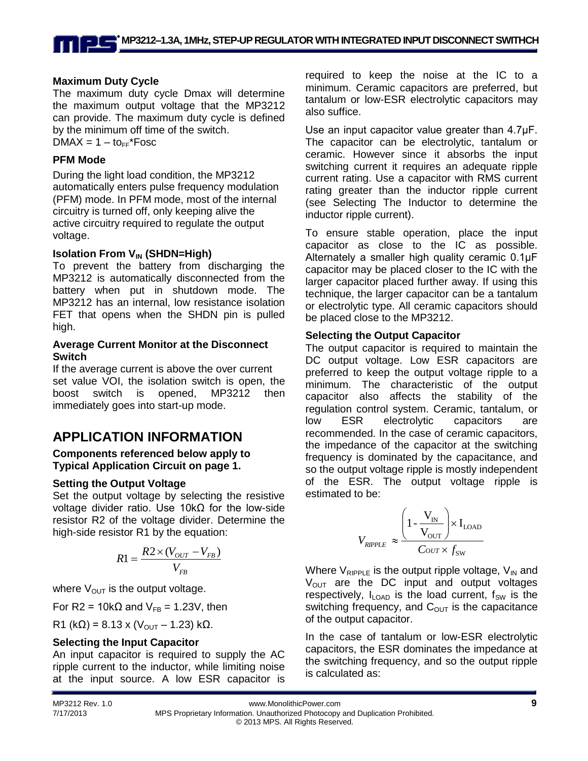### **Maximum Duty Cycle**

The maximum duty cycle Dmax will determine the maximum output voltage that the MP3212 can provide. The maximum duty cycle is defined by the minimum off time of the switch.  $DMAX = 1 - to$ FF\*Fosc

#### **PFM Mode**

During the light load condition, the MP3212 automatically enters pulse frequency modulation (PFM) mode. In PFM mode, most of the internal circuitry is turned off, only keeping alive the active circuitry required to regulate the output voltage.

#### **Isolation From V<sub>IN</sub> (SHDN=High)**

To prevent the battery from discharging the MP3212 is automatically disconnected from the battery when put in shutdown mode. The MP3212 has an internal, low resistance isolation FET that opens when the SHDN pin is pulled high.

#### **Average Current Monitor at the Disconnect Switch**

If the average current is above the over current set value VOI, the isolation switch is open, the boost switch is opened, MP3212 then immediately goes into start-up mode.

# **APPLICATION INFORMATION**

#### **Components referenced below apply to Typical Application Circuit on page 1.**

#### **Setting the Output Voltage**

Set the output voltage by selecting the resistive voltage divider ratio. Use 10kΩ for the low-side resistor R2 of the voltage divider. Determine the high-side resistor R1 by the equation:

$$
R1 = \frac{R2 \times (V_{OUT} - V_{FB})}{V_{FB}}
$$

where  $V_{\text{OUT}}$  is the output voltage.

For R2 = 10k $\Omega$  and  $V_{FB}$  = 1.23V, then

R1 (kΩ) = 8.13 x (V<sub>OUT</sub> – 1.23) kΩ.

### **Selecting the Input Capacitor**

An input capacitor is required to supply the AC ripple current to the inductor, while limiting noise at the input source. A low ESR capacitor is

required to keep the noise at the IC to a minimum. Ceramic capacitors are preferred, but tantalum or low-ESR electrolytic capacitors may also suffice.

Use an input capacitor value greater than 4.7μF. The capacitor can be electrolytic, tantalum or ceramic. However since it absorbs the input switching current it requires an adequate ripple current rating. Use a capacitor with RMS current rating greater than the inductor ripple current (see Selecting The Inductor to determine the inductor ripple current).

To ensure stable operation, place the input capacitor as close to the IC as possible. Alternately a smaller high quality ceramic 0.1μF capacitor may be placed closer to the IC with the larger capacitor placed further away. If using this technique, the larger capacitor can be a tantalum or electrolytic type. All ceramic capacitors should be placed close to the MP3212.

#### **Selecting the Output Capacitor**

The output capacitor is required to maintain the DC output voltage. Low ESR capacitors are preferred to keep the output voltage ripple to a minimum. The characteristic of the output capacitor also affects the stability of the regulation control system. Ceramic, tantalum, or low ESR electrolytic capacitors are recommended. In the case of ceramic capacitors, the impedance of the capacitor at the switching frequency is dominated by the capacitance, and so the output voltage ripple is mostly independent of the ESR. The output voltage ripple is estimated to be:

$$
V_{\text{RIPPLE}} \approx \frac{\left(1 - \frac{V_{\text{IN}}}{V_{\text{OUT}}}\right) \times I_{\text{LOAD}}}{C_{\text{OUT}} \times f_{\text{SW}}}
$$

Where  $V_{RIPPLE}$  is the output ripple voltage,  $V_{IN}$  and  $V<sub>OUT</sub>$  are the DC input and output voltages respectively,  $I_{\text{LOAD}}$  is the load current,  $f_{\text{SW}}$  is the switching frequency, and  $C_{\text{OUT}}$  is the capacitance of the output capacitor.

In the case of tantalum or low-ESR electrolytic capacitors, the ESR dominates the impedance at the switching frequency, and so the output ripple is calculated as: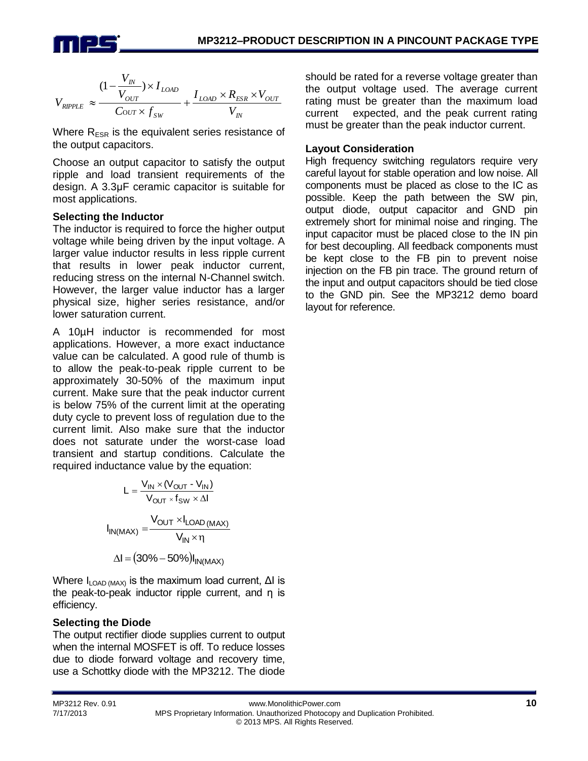

$$
V_{\textit{RIPPLE}} \approx \frac{(1-\frac{V_{\textit{IN}}}{V_{\textit{OUT}}})\times I_{\textit{LOAD}}}{C_{\textit{OUT}}\times f_{\textit{SW}}} + \frac{I_{\textit{LOAD}}\times R_{\textit{ESR}}\times V_{\textit{OUT}}}{V_{\textit{IN}}}
$$

Where  $R_{ESR}$  is the equivalent series resistance of the output capacitors.

Choose an output capacitor to satisfy the output ripple and load transient requirements of the design. A 3.3μF ceramic capacitor is suitable for most applications.

#### **Selecting the Inductor**

The inductor is required to force the higher output voltage while being driven by the input voltage. A larger value inductor results in less ripple current that results in lower peak inductor current, reducing stress on the internal N-Channel switch. However, the larger value inductor has a larger physical size, higher series resistance, and/or lower saturation current.

A 10µH inductor is recommended for most applications. However, a more exact inductance value can be calculated. A good rule of thumb is to allow the peak-to-peak ripple current to be approximately 30-50% of the maximum input current. Make sure that the peak inductor current is below 75% of the current limit at the operating duty cycle to prevent loss of regulation due to the current limit. Also make sure that the inductor does not saturate under the worst-case load transient and startup conditions. Calculate the required inductance value by the equation:

$$
L = \frac{V_{IN} \times (V_{OUT} - V_{IN})}{V_{OUT} \times f_{SW} \times \Delta I}
$$

$$
I_{IN(MAX)} = \frac{V_{OUT} \times I_{LOAD(MAX)}}{V_{IN} \times \eta}
$$

$$
\Delta I = (30\% - 50\%)I_{IN(MAX)}
$$

Where  $I_{\text{LOAD (MAX)}}$  is the maximum load current,  $\Delta I$  is the peak-to-peak inductor ripple current, and η is efficiency.

#### **Selecting the Diode**

The output rectifier diode supplies current to output when the internal MOSFET is off. To reduce losses due to diode forward voltage and recovery time, use a Schottky diode with the MP3212. The diode

should be rated for a reverse voltage greater than the output voltage used. The average current rating must be greater than the maximum load current expected, and the peak current rating must be greater than the peak inductor current.

### **Layout Consideration**

High frequency switching regulators require very careful layout for stable operation and low noise. All components must be placed as close to the IC as possible. Keep the path between the SW pin, output diode, output capacitor and GND pin extremely short for minimal noise and ringing. The input capacitor must be placed close to the IN pin for best decoupling. All feedback components must be kept close to the FB pin to prevent noise injection on the FB pin trace. The ground return of the input and output capacitors should be tied close to the GND pin. See the MP3212 demo board layout for reference.